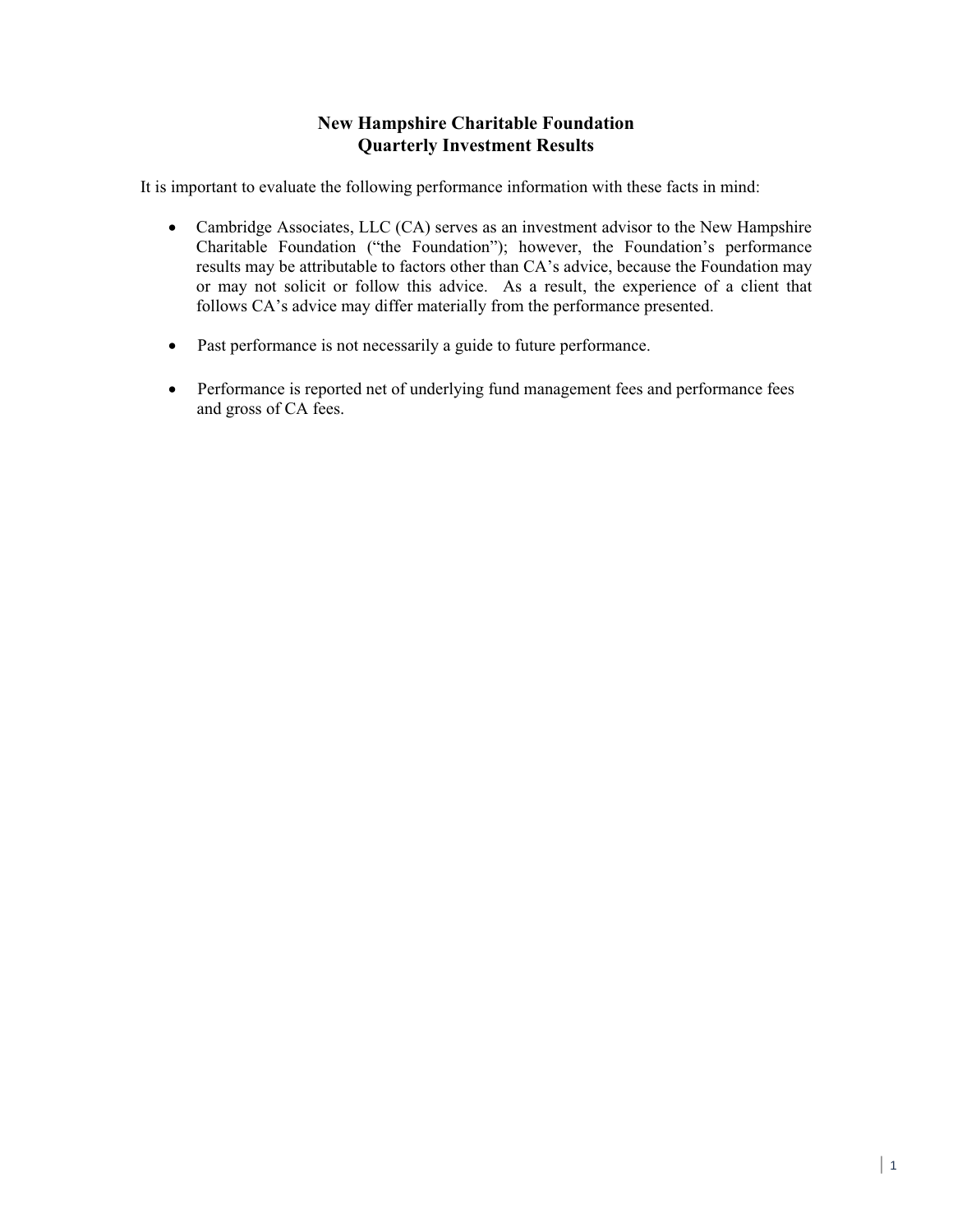## **New Hampshire Charitable Foundation Quarterly Investment Results**

It is important to evaluate the following performance information with these facts in mind:

- Cambridge Associates, LLC (CA) serves as an investment advisor to the New Hampshire Charitable Foundation ("the Foundation"); however, the Foundation's performance results may be attributable to factors other than CA's advice, because the Foundation may or may not solicit or follow this advice. As a result, the experience of a client that follows CA's advice may differ materially from the performance presented.
- Past performance is not necessarily a guide to future performance.
- Performance is reported net of underlying fund management fees and performance fees and gross of CA fees.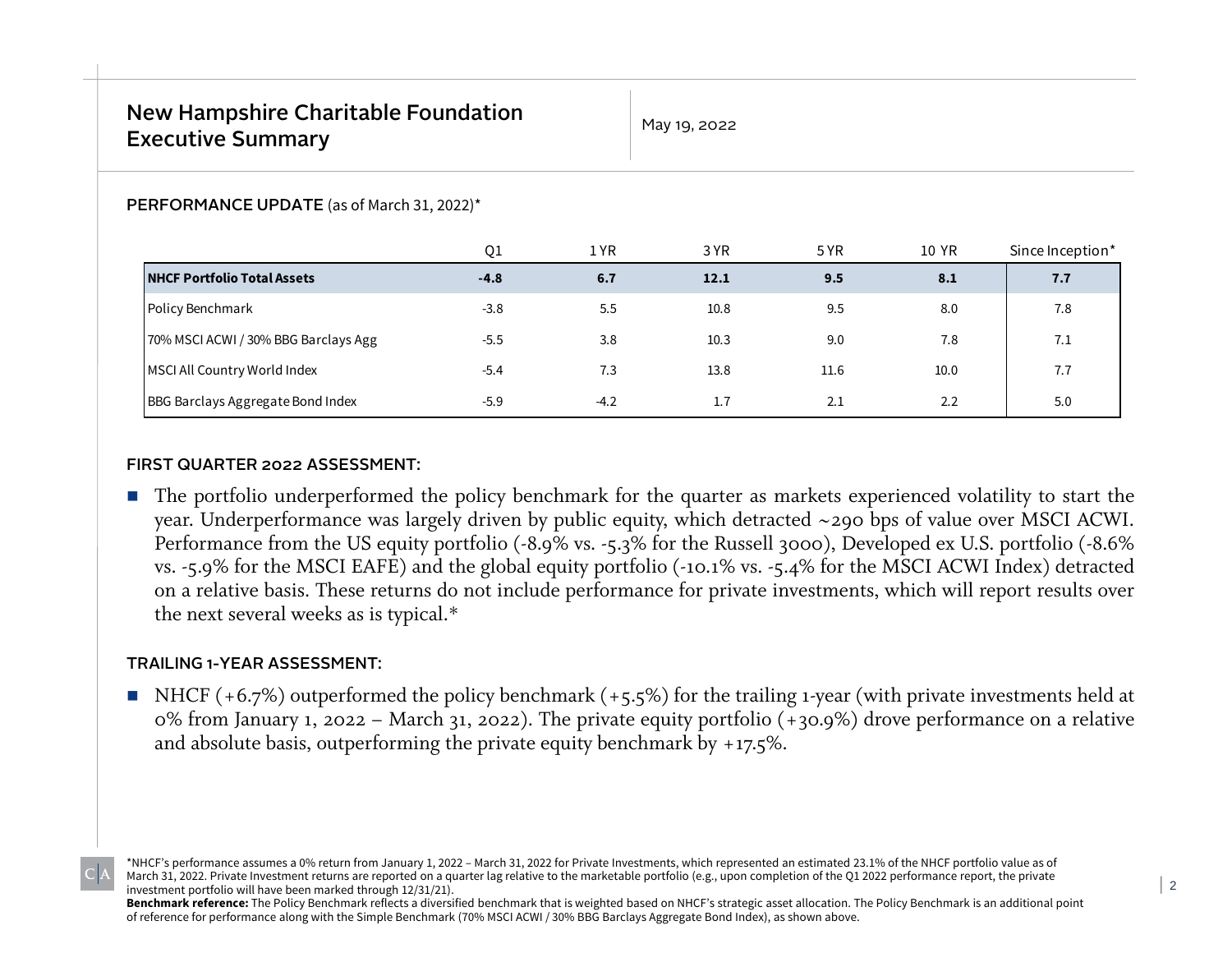May 19, 2022

#### PERFORMANCE UPDATE (as of March 31, 2022)\*

|                                      | Q1     | 1 YR   | 3 YR | 5 YR | 10 YR | Since Inception* |
|--------------------------------------|--------|--------|------|------|-------|------------------|
| <b>NHCF Portfolio Total Assets</b>   | $-4.8$ | 6.7    | 12.1 | 9.5  | 8.1   | 7.7              |
| Policy Benchmark                     | $-3.8$ | 5.5    | 10.8 | 9.5  | 8.0   | 7.8              |
| 70% MSCI ACWI / 30% BBG Barclays Agg | $-5.5$ | 3.8    | 10.3 | 9.0  | 7.8   | 7.1              |
| MSCI All Country World Index         | $-5.4$ | 7.3    | 13.8 | 11.6 | 10.0  | 7.7              |
| BBG Barclays Aggregate Bond Index    | $-5.9$ | $-4.2$ | 1.7  | 2.1  | 2.2   | 5.0              |

#### FIRST QUARTER 2022 ASSESSMENT:

■ The portfolio underperformed the policy benchmark for the quarter as markets experienced volatility to start the year. Underperformance was largely driven by public equity, which detracted ~290 bps of value over MSCI ACWI. Performance from the US equity portfolio (-8.9% vs. -5.3% for the Russell 3000), Developed ex U.S. portfolio (-8.6% vs. -5.9% for the MSCI EAFE) and the global equity portfolio (-10.1% vs. -5.4% for the MSCI ACWI Index) detracted on <sup>a</sup> relative basis. These returns do not include performance for private investments, which will repor<sup>t</sup> results over the next several weeks as is typical.\*

#### TRAILING 1-YEAR ASSESSMENT:

■ NHCF (+6.7%) outperformed the policy benchmark (+5.5%) for the trailing 1-year (with private investments held at 0% from January 1, <sup>2022</sup> – March 31, 2022). The private equity portfolio (+30.9%) drove performance on <sup>a</sup> relative and absolute basis, outperforming the private equity benchmark by  $+17.5\%$ .

\*NHCF's performance assumes a 0% return from January 1, 2022 – March 31, 2022 for Private Investments, which represented an estimated 23.1% of the NHCF portfolio value as of March 31, 2022. Private Investment returns are reported on a quarter lag relative to the marketable portfolio (e.g., upon completion of the Q1 2022 performance report, the private investment portfolio will have been marked through 12/31/21).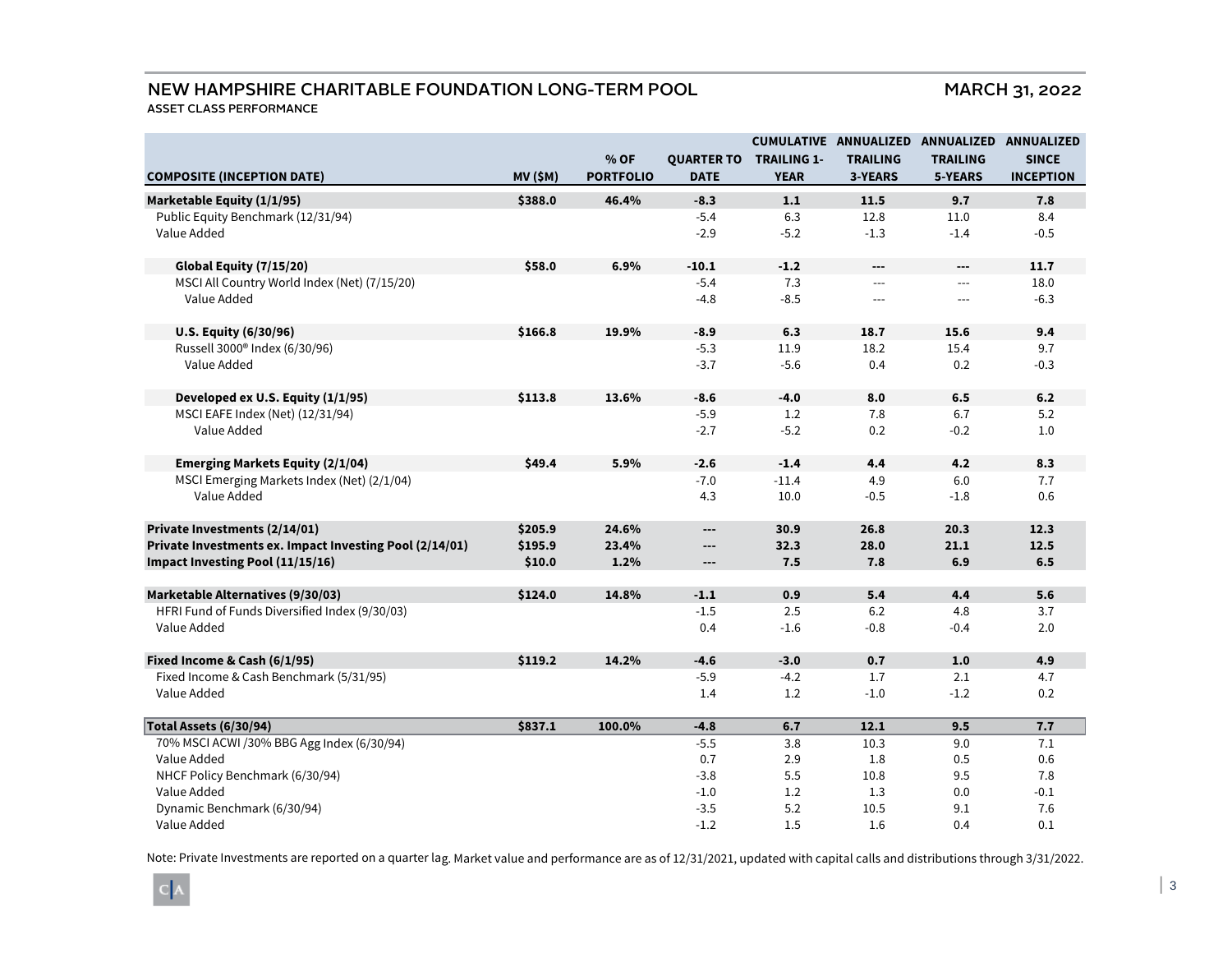### NEW HAMPSHIRE CHARITABLE FOUNDATION LONG-TERM POOL

ASSET CLASS PERFORMANCE

**COMPOSITE (INCEPTION DATE) MV (\$M) % OF PORTFOLIOQUARTER TO TRAILING 1-DATECUMULATIVE ANNUALIZED ANNUALIZED ANNUALIZED YEARTRAILING3-YEARSTRAILING5-YEARSSINCE INCEPTIONMarketable Equity (1/1/95) \$388.0 46.4% -8.3 1.1 11.5 9.7 7.8** Public Equity Benchmark (12/31/94) 6.3 12.8 11.0 8.4 Value Added -2.9 -5.2 -1.3 -1.4 -0.5 **Global Equity (7/15/20) \$58.0 6.9% -10.1 -1.2 --- --- 11.7** MSCI All Country World Index (Net) (7/15/20) -5.4 7.3 --- --- 18.0 Value Added -4.8 -8.5 --- --- -6.3 **U.S. Equity (6/30/96) \$166.8 19.9% -8.9 6.3 18.7 15.6 9.4** Russell 3000® Index (6/30/96) -5.3 11.9 18.2 15.4 9.7 Value Addedd -3.7 -5.6 0.4 0.2 -0.3 **Developed ex U.S. Equity (1/1/95) \$113.8 13.6% -8.6 -4.0 8.0 6.5 6.2** MSCI EAFE Index (Net) (12/31/94) 6.7 5.2 Value Added -2.7 -5.2 0.2 -0.2 1.0 **Emerging Markets Equity (2/1/04) \$49.4 5.9% -2.6 -1.4 4.4 4.2 8.3** MSCI Emerging Markets Index (Net) (2/1/04)  $7.7$  -7.0  $-11.4$   $4.9$   $6.0$   $7.7$ Value Added 4.3 10.0 -0.5 -1.8 0.6 **Private Investments (2/14/01) \$205.9 24.6% --- 30.9 26.8 20.3 12.3 Private Investments ex. Impact Investing Pool (2/14/01) \$195.9 23.4% --- 32.3 28.0 21.1 12.5 Impact Investing Pool (11/15/16) \$10.0 1.2% --- 7.5 7.8 6.9 6.5 Marketable Alternatives (9/30/03) \$124.0 14.8% -1.1 0.9 5.4 4.4 5.6** HFRI Fund of Funds Diversified Index (9/30/03) -1.5 2.5 6.2 4.8 3.7 Value Added 0.4 -1.6 -0.8 -0.4 2.0 **Fixed Income & Cash (6/1/95) \$119.2 14.2% -4.6 -3.0 0.7 1.0 4.9** Fixed Income & Cash Benchmark (5/31/95)  $4.7$   $4.7$   $4.7$   $4.7$   $4.7$   $4.7$   $4.7$   $4.7$ Value Added 1.4 1.2 -1.0 -1.2 0.2 **Total Assets (6/30/94) \$837.1 100.0% -4.8 6.7 12.1 9.5 7.7** 70% MSCI ACWI /30% BBG Agg Index (6/30/94)  $\overline{7.1}$  -5.5  $\overline{3.8}$  10.3 9.0 7.1 Value Added 0.7 2.9 1.8 0.5 0.6 NHCF Policy Benchmark (6/30/94)  $7.8$  3.8  $5.5$  10.8  $9.5$  7.8 Value Addedd and the contract of  $1.0$  and  $1.2$  and  $1.3$  and  $0.0$  and  $-0.1$ Dynamic Benchmark (6/30/94) 6.1 (6/30/94) -3.5 5.2 10.5 9.1 7.6 Value Addedd and the contract of  $-1.2$  and  $1.5$  and  $1.6$  and  $0.4$  and  $0.1$ 

Note: Private Investments are reported on a quarter lag. Market value and performance are as of 12/31/2021, updated with capital calls and distributions through 3/31/2022.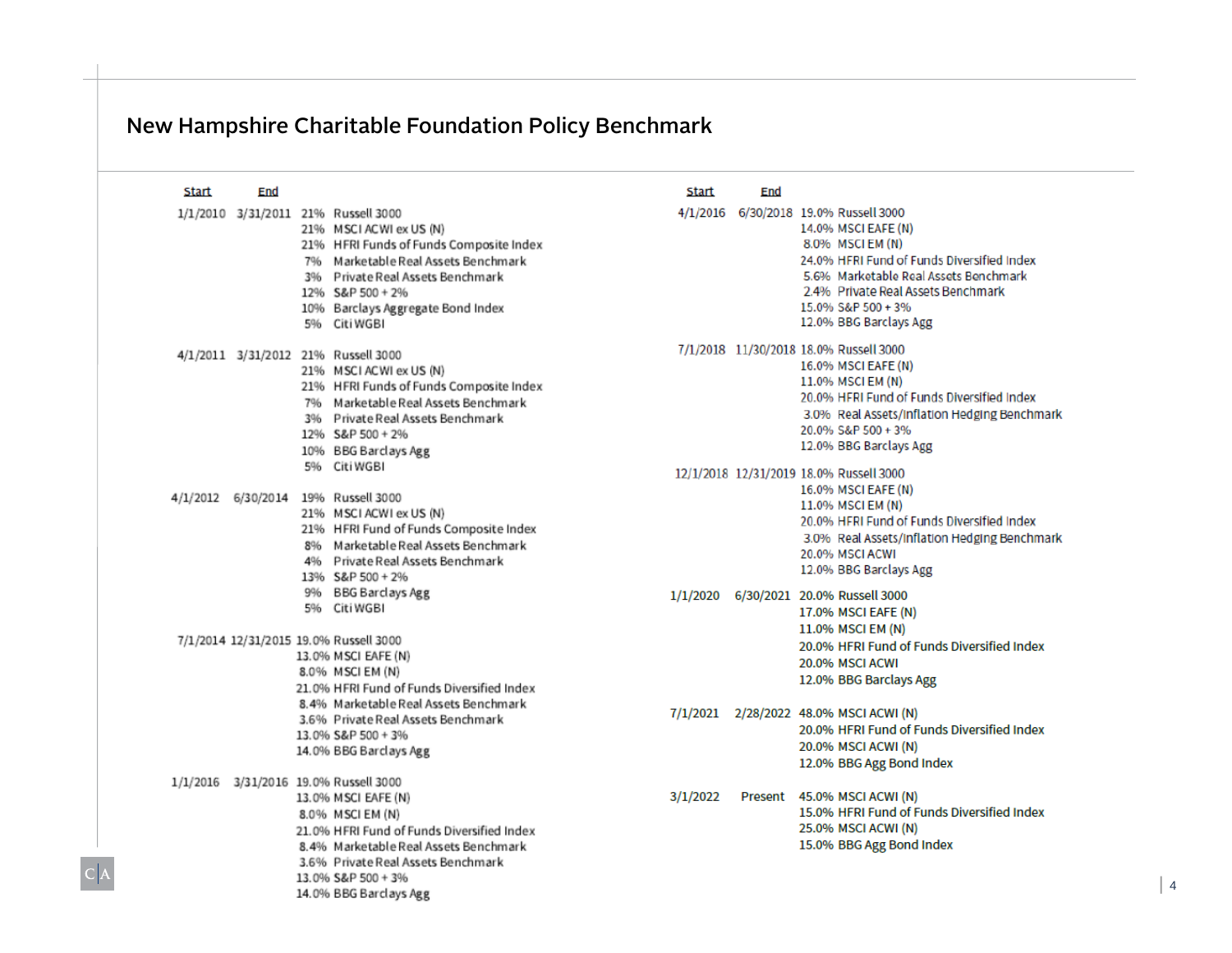# New Hampshire Charitable Foundation Policy Benchmark

 $|C|A$ 

| Start | End |                                                                                                                                                                                                                                                               | Start    | End |                                                                                                                                                                                                                                                                             |
|-------|-----|---------------------------------------------------------------------------------------------------------------------------------------------------------------------------------------------------------------------------------------------------------------|----------|-----|-----------------------------------------------------------------------------------------------------------------------------------------------------------------------------------------------------------------------------------------------------------------------------|
|       |     | 1/1/2010 3/31/2011 21% Russell 3000<br>21% MSCIACWI ex US (N)<br>21% HFRI Funds of Funds Composite Index<br>796 Marketable Real Assets Benchmark<br>3% Private Real Assets Benchmark<br>12% S&P 500 + 2%<br>10% Barclays Aggregate Bond Index<br>5% Citi WGB  |          |     | 4/1/2016 6/30/2018 19.0% Russell 3000<br>14.0% MSCI EAFE (N)<br>8.0% MSCIEM (N)<br>24.0% HFRI Fund of Funds Diversified Index<br>5.6% Marketable Real Assets Benchmark<br>2.4% Private Real Assets Benchmark<br>15.0% S&P 500 + 3%<br>12.0% BBG Barclays Agg                |
|       |     | 4/1/2011 3/31/2012 21% Russell 3000<br>21% MSCIACWI ex US (N)<br>21% HFRI Funds of Funds Composite Index<br>796 Marketable Real Assets Benchmark<br>3% Private Real Assets Benchmark<br>12% S&P 500 + 2%<br>10% BBG Barclays Agg<br>5% Citi WGBI              |          |     | 7/1/2018 11/30/2018 18.0% Russell 3000<br>16.0% MSCI EAFE (N)<br>11.0% MSCI EM (N)<br>20.0% HFRI Fund of Funds Diversified Index<br>3.0% Real Assets/Inflation Hedging Benchmark<br>20.0% S&P 500 + 3%<br>12.0% BBG Barclays Agg<br>12/1/2018 12/31/2019 18.0% Russell 3000 |
|       |     | 4/1/2012 6/30/2014 19% Russell 3000<br>21% MSCI ACWI ex US (N)<br>21% HFRI Fund of Funds Composite Index<br>8% Marketable Real Assets Benchmark<br>4% Private Real Assets Benchmark<br>13% S&P 500 + 2%                                                       |          |     | 16.0% MSCI EAFE (N)<br>11.0% MSCI EM (N)<br>20.0% HFRI Fund of Funds Diversified Index<br>3.0% Real Assets/Inflation Hedging Benchmark<br>20.0% MSCI ACWI<br>12.0% BBG Barclays Agg                                                                                         |
|       |     | 9% BBG Barclays Agg<br>5% Citi WGBI<br>7/1/2014 12/31/2015 19.0% Russell 3000<br>13.0% MSCI EAFE (N)<br>8.0% MSCI EM (N)<br>21.0% HFRI Fund of Funds Diversified Index<br>8.4% Marketable Real Assets Benchmark                                               |          |     | 1/1/2020 6/30/2021 20.0% Russell 3000<br>17.0% MSCI EAFE (N)<br>11.0% MSCI EM (N)<br>20.0% HFRI Fund of Funds Diversified Index<br>20.0% MSCI ACWI<br>12.0% BBG Barclays Agg                                                                                                |
|       |     | 3.6% Private Real Assets Benchmark<br>13.0% S&P 500 + 3%<br>14.0% BBG Barclays Agg                                                                                                                                                                            |          |     | 7/1/2021 2/28/2022 48.0% MSCI ACWI (N)<br>20.0% HFRI Fund of Funds Diversified Index<br>20.0% MSCI ACWI (N)<br>12.0% BBG Agg Bond Index                                                                                                                                     |
|       |     | 1/1/2016 3/31/2016 19.0% Russell 3000<br>13.0% MSCI EAFE (N)<br>8.0% MSCI EM (N)<br>21.0% HFRI Fund of Funds Diversified Index<br>8.4% Marketable Real Assets Benchmark<br>3.6% Private Real Assets Benchmark<br>13.0% S&P 500 + 3%<br>14.0% BBG Barclays Agg | 3/1/2022 |     | Present 45.0% MSCI ACWI (N)<br>15.0% HFRI Fund of Funds Diversified Index<br>25.0% MSCI ACWI (N)<br>15.0% BBG Agg Bond Index                                                                                                                                                |